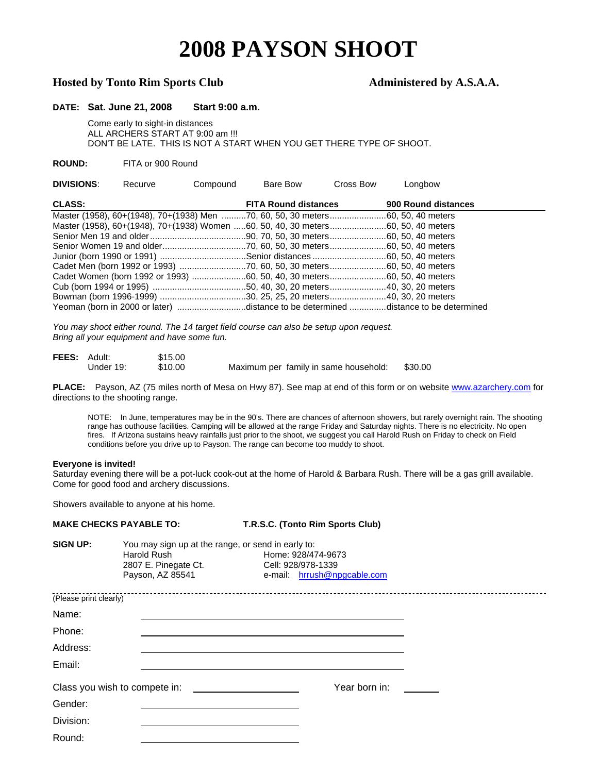# **2008 PAYSON SHOOT**

## Hosted by Tonto Rim Sports Club **Administered by A.S.A.A.**

### **DATE: Sat. June 21, 2008 Start 9:00 a.m.**

 Come early to sight-in distances ALL ARCHERS START AT 9:00 am !!! DON'T BE LATE. THIS IS NOT A START WHEN YOU GET THERE TYPE OF SHOOT.

#### **ROUND:** FITA or 900 Round

| <b>DIVISIONS:</b> | Recurve | Compound | Bare Bow                    | Cross Bow                                                                              | Longbow                                                                            |  |
|-------------------|---------|----------|-----------------------------|----------------------------------------------------------------------------------------|------------------------------------------------------------------------------------|--|
| <b>CLASS:</b>     |         |          | <b>FITA Round distances</b> |                                                                                        | 900 Round distances                                                                |  |
|                   |         |          |                             | Master (1958), 60+(1948), 70+(1938) Men 70, 60, 50, 30 meters60, 50, 40 meters         |                                                                                    |  |
|                   |         |          |                             | Master (1958), 60+(1948), 70+(1938) Women 60, 50, 40, 30 meters 60, 50, 40 meters      |                                                                                    |  |
|                   |         |          |                             |                                                                                        |                                                                                    |  |
|                   |         |          |                             |                                                                                        |                                                                                    |  |
|                   |         |          |                             |                                                                                        |                                                                                    |  |
|                   |         |          |                             | Cadet Men (born 1992 or 1993) 70, 60, 50, 30 meters60, 50, 40 meters                   |                                                                                    |  |
|                   |         |          |                             | Cadet Women (born 1992 or 1993) ……………………60, 50, 40, 30 meters……………………60, 50, 40 meters |                                                                                    |  |
|                   |         |          |                             |                                                                                        |                                                                                    |  |
|                   |         |          |                             |                                                                                        |                                                                                    |  |
|                   |         |          |                             |                                                                                        | Yeoman (born in 2000 or later) distance to be determined distance to be determined |  |

*You may shoot either round. The 14 target field course can also be setup upon request. Bring all your equipment and have some fun.* 

| <b>FEES: Adult:</b> |           | \$15.00 |                                       |         |
|---------------------|-----------|---------|---------------------------------------|---------|
|                     | Under 19: | \$10.00 | Maximum per family in same household: | \$30.00 |

PLACE: Payson, AZ (75 miles north of Mesa on Hwy 87). See map at end of this form or on website [www.azarchery.com f](http://www.azarchery.com/)or directions to the shooting range.

NOTE: In June, temperatures may be in the 90's. There are chances of afternoon showers, but rarely overnight rain. The shooting range has outhouse facilities. Camping will be allowed at the range Friday and Saturday nights. There is no electricity. No open fires. If Arizona sustains heavy rainfalls just prior to the shoot, we suggest you call Harold Rush on Friday to check on Field conditions before you drive up to Payson. The range can become too muddy to shoot.

#### **Everyone is invited!**

Saturday evening there will be a pot-luck cook-out at the home of Harold & Barbara Rush. There will be a gas grill available. Come for good food and archery discussions.

Showers available to anyone at his home.

| <b>MAKE CHECKS PAYABLE TO:</b> |                                                                                                               | T.R.S.C. (Tonto Rim Sports Club)                                        |  |
|--------------------------------|---------------------------------------------------------------------------------------------------------------|-------------------------------------------------------------------------|--|
| <b>SIGN UP:</b>                | You may sign up at the range, or send in early to:<br>Harold Rush<br>2807 E. Pinegate Ct.<br>Payson, AZ 85541 | Home: 928/474-9673<br>Cell: 928/978-1339<br>e-mail: hrrush@npgcable.com |  |
| (Please print clearly)         |                                                                                                               |                                                                         |  |
| Name:                          |                                                                                                               |                                                                         |  |
| Phone:                         |                                                                                                               |                                                                         |  |
| Address:                       |                                                                                                               |                                                                         |  |
| Email:                         |                                                                                                               |                                                                         |  |
|                                | Class you wish to compete in:<br>                                                                             | Year born in:                                                           |  |
| Gender:                        |                                                                                                               |                                                                         |  |
| Division:                      |                                                                                                               |                                                                         |  |
| Round:                         |                                                                                                               |                                                                         |  |